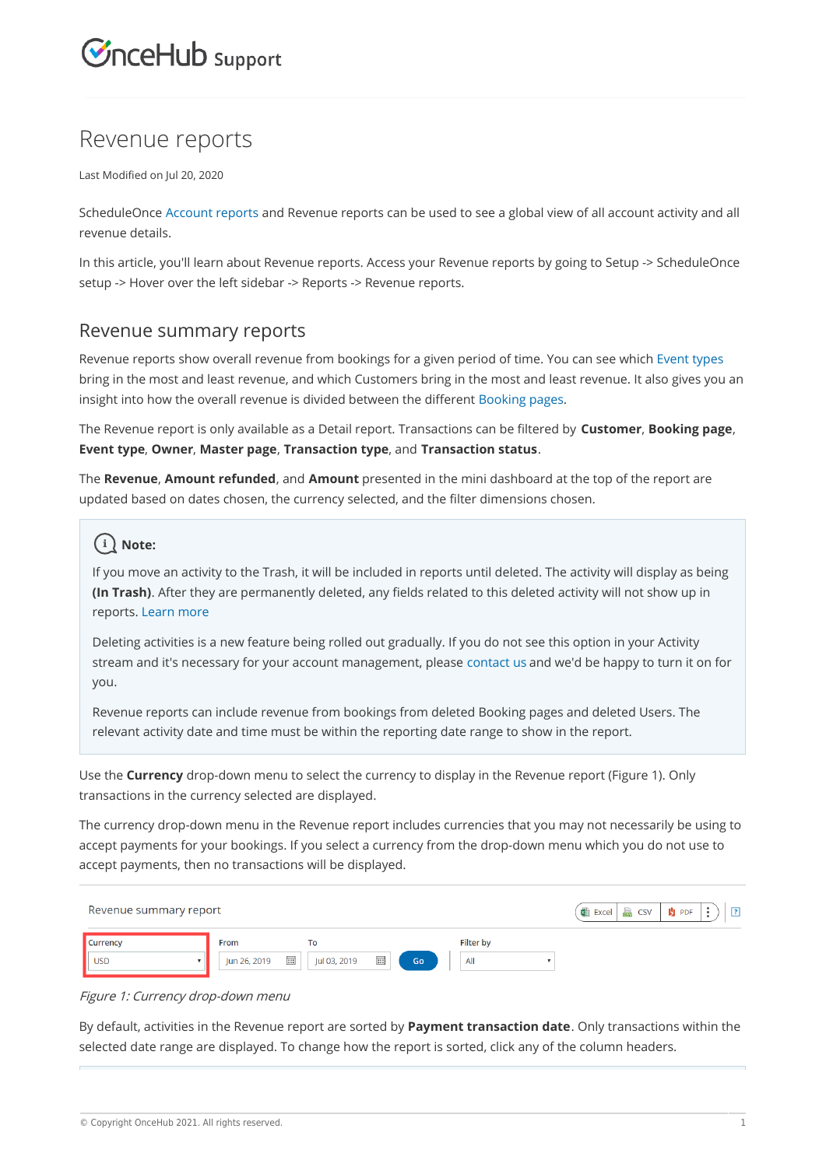# **InceHub** support

## Revenue reports

Last Modified on Jul 20, 2020

ScheduleOnce Account reports and Revenue reports can be used to see a global view of all account activity and all revenue details.

In this article, you'll learn about Revenue reports. Access your Revenue reports by going to Setup -> ScheduleOnce setup -> Hover over the left sidebar -> Reports -> Revenue reports.

#### Revenue summary reports

Revenue reports show overall revenue from bookings for a given period of time. You can see which Event types bring in the most and least revenue, and which Customers bring in the most and least revenue. It also gives you an insight into how the overall revenue is divided between the different Booking pages.

The Revenue report is only available as a Detail report. Transactions can be filtered by **Customer**, **Booking page**, **Event type**, **Owner**, **Master page**, **Transaction type**, and **Transaction status**.

The **Revenue**, **Amount refunded**, and **Amount** presented in the mini dashboard at the top of the report are updated based on dates chosen, the currency selected, and the filter dimensions chosen.

### **Note:**

If you move an activity to the Trash, it will be included in reports until deleted. The activity will display as being **(In Trash)**. After they are permanently deleted, any fields related to this deleted activity will not show up in reports. Learn more

Deleting activities is a new feature being rolled out gradually. If you do not see this option in your Activity stream and it's necessary for your account management, please contact us and we'd be happy to turn it on for you.

Revenue reports can include revenue from bookings from deleted Booking pages and deleted Users. The relevant activity date and time must be within the reporting date range to show in the report.

Use the **Currency** drop-down menu to select the currency to display in the Revenue report (Figure 1). Only transactions in the currency selected are displayed.

The currency drop-down menu in the Revenue report includes currencies that you may not necessarily be using to accept payments for your bookings. If you select a currency from the drop-down menu which you do not use to accept payments, then no transactions will be displayed.

| Revenue summary report        | <b>Est</b> CSV<br>Excel<br>$\mathbf{H}$ PDF |                                     |                        |  |
|-------------------------------|---------------------------------------------|-------------------------------------|------------------------|--|
| <b>Currency</b><br><b>USD</b> | From<br>$\overline{}$<br>Jun 26, 2019       | To<br>$\overline{}$<br>Jul 03, 2019 | Filter by<br>All<br>Go |  |

#### Figure 1: Currency drop-down menu

By default, activities in the Revenue report are sorted by **Payment transaction date**. Only transactions within the selected date range are displayed. To change how the report is sorted, click any of the column headers.